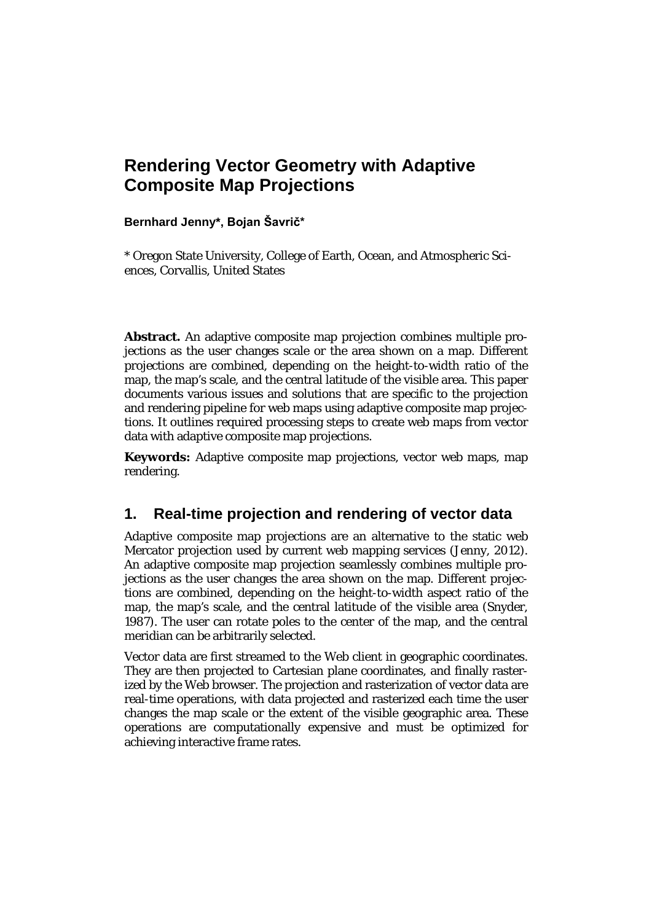# **Rendering Vector Geometry with Adaptive Composite Map Projections**

#### **Bernhard Jenny\*, Bojan Šavrič\***

\* Oregon State University, College of Earth, Ocean, and Atmospheric Sciences, Corvallis, United States

**Abstract.** An adaptive composite map projection combines multiple projections as the user changes scale or the area shown on a map. Different projections are combined, depending on the height-to-width ratio of the map, the map's scale, and the central latitude of the visible area. This paper documents various issues and solutions that are specific to the projection and rendering pipeline for web maps using adaptive composite map projections. It outlines required processing steps to create web maps from vector data with adaptive composite map projections.

**Keywords:** Adaptive composite map projections, vector web maps, map rendering.

### **1. Real-time projection and rendering of vector data**

Adaptive composite map projections are an alternative to the static web Mercator projection used by current web mapping services (Jenny, 2012). An adaptive composite map projection seamlessly combines multiple projections as the user changes the area shown on the map. Different projections are combined, depending on the height-to-width aspect ratio of the map, the map's scale, and the central latitude of the visible area (Snyder, 1987). The user can rotate poles to the center of the map, and the central meridian can be arbitrarily selected.

Vector data are first streamed to the Web client in geographic coordinates. They are then projected to Cartesian plane coordinates, and finally rasterized by the Web browser. The projection and rasterization of vector data are real-time operations, with data projected and rasterized each time the user changes the map scale or the extent of the visible geographic area. These operations are computationally expensive and must be optimized for achieving interactive frame rates.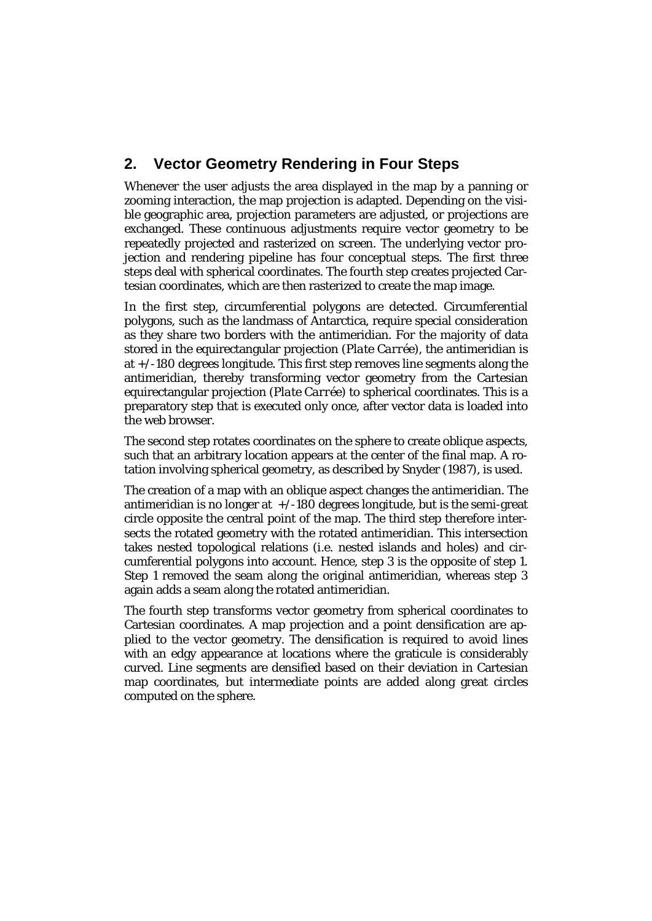## **2. Vector Geometry Rendering in Four Steps**

Whenever the user adjusts the area displayed in the map by a panning or zooming interaction, the map projection is adapted. Depending on the visible geographic area, projection parameters are adjusted, or projections are exchanged. These continuous adjustments require vector geometry to be repeatedly projected and rasterized on screen. The underlying vector projection and rendering pipeline has four conceptual steps. The first three steps deal with spherical coordinates. The fourth step creates projected Cartesian coordinates, which are then rasterized to create the map image.

In the first step, circumferential polygons are detected. Circumferential polygons, such as the landmass of Antarctica, require special consideration as they share two borders with the antimeridian. For the majority of data stored in the equirectangular projection (*Plate Carrée*), the antimeridian is at +/-180 degrees longitude. This first step removes line segments along the antimeridian, thereby transforming vector geometry from the Cartesian equirectangular projection (*Plate Carrée*) to spherical coordinates. This is a preparatory step that is executed only once, after vector data is loaded into the web browser.

The second step rotates coordinates on the sphere to create oblique aspects, such that an arbitrary location appears at the center of the final map. A rotation involving spherical geometry, as described by Snyder (1987), is used.

The creation of a map with an oblique aspect changes the antimeridian. The antimeridian is no longer at  $+/-180$  degrees longitude, but is the semi-great circle opposite the central point of the map. The third step therefore intersects the rotated geometry with the rotated antimeridian. This intersection takes nested topological relations (i.e. nested islands and holes) and circumferential polygons into account. Hence, step 3 is the opposite of step 1. Step 1 removed the seam along the original antimeridian, whereas step 3 again adds a seam along the rotated antimeridian.

The fourth step transforms vector geometry from spherical coordinates to Cartesian coordinates. A map projection and a point densification are applied to the vector geometry. The densification is required to avoid lines with an edgy appearance at locations where the graticule is considerably curved. Line segments are densified based on their deviation in Cartesian map coordinates, but intermediate points are added along great circles computed on the sphere.